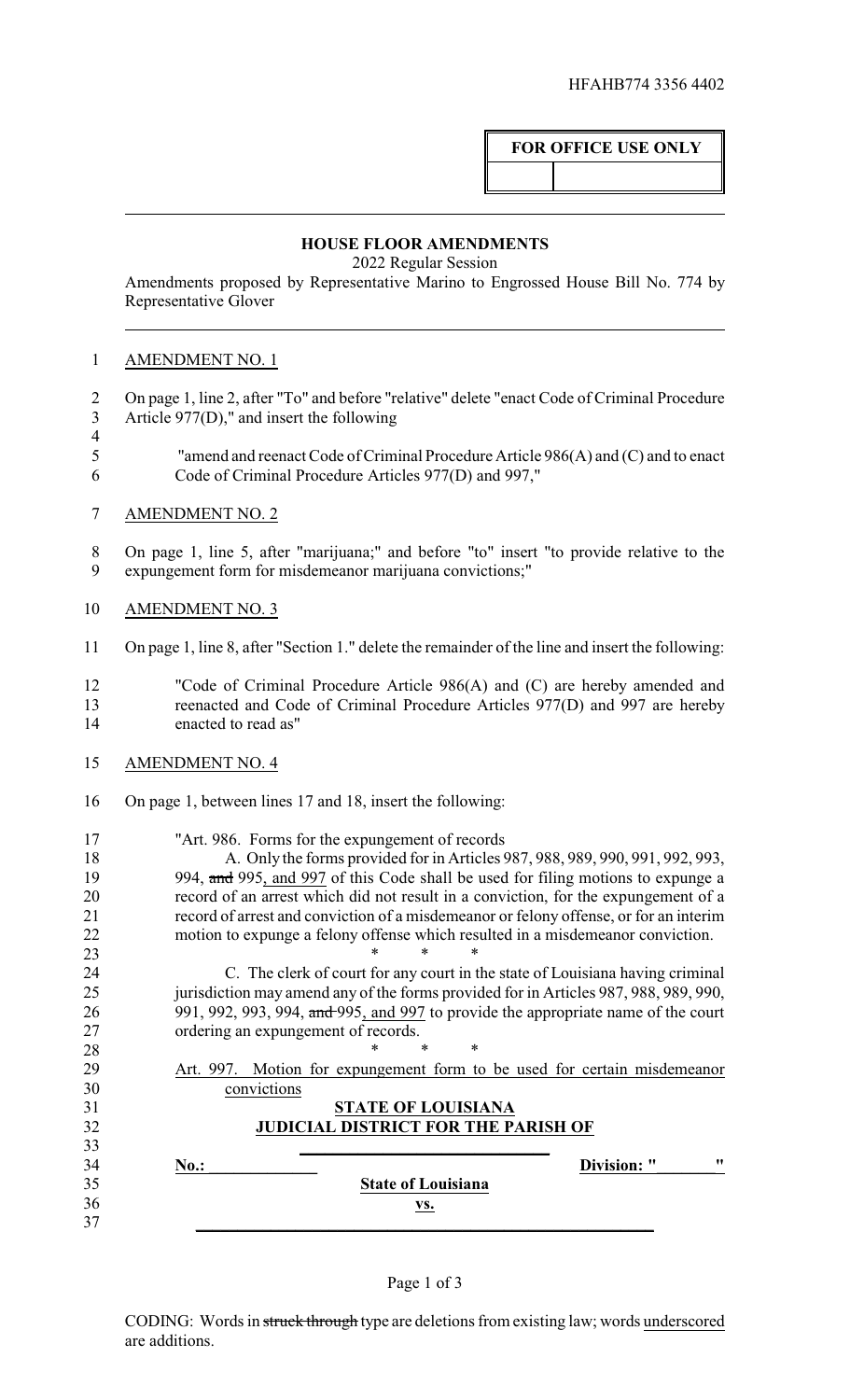## **FOR OFFICE USE ONLY**

## **HOUSE FLOOR AMENDMENTS**

2022 Regular Session

Amendments proposed by Representative Marino to Engrossed House Bill No. 774 by Representative Glover

## AMENDMENT NO. 1

- On page 1, line 2, after "To" and before "relative" delete "enact Code of Criminal Procedure Article 977(D)," and insert the following
- 
- "amend and reenact Code of Criminal Procedure Article 986(A) and (C) and to enact Code of Criminal Procedure Articles 977(D) and 997,"
- AMENDMENT NO. 2

 On page 1, line 5, after "marijuana;" and before "to" insert "to provide relative to the expungement form for misdemeanor marijuana convictions;"

- AMENDMENT NO. 3
- On page 1, line 8, after "Section 1." delete the remainder of the line and insert the following:
- "Code of Criminal Procedure Article 986(A) and (C) are hereby amended and reenacted and Code of Criminal Procedure Articles 977(D) and 997 are hereby enacted to read as"
- AMENDMENT NO. 4
- On page 1, between lines 17 and 18, insert the following:

| 17 | "Art. 986. Forms for the expungement of records"                                      |
|----|---------------------------------------------------------------------------------------|
| 18 | A. Only the forms provided for in Articles 987, 988, 989, 990, 991, 992, 993,         |
| 19 | 994, and 995, and 997 of this Code shall be used for filing motions to expunge a      |
| 20 | record of an arrest which did not result in a conviction, for the expungement of a    |
| 21 | record of arrest and conviction of a misdemeanor or felony offense, or for an interim |
| 22 | motion to expunge a felony offense which resulted in a misdemeanor conviction.        |
| 23 |                                                                                       |
| 24 | C. The clerk of court for any court in the state of Louisiana having criminal         |
| 25 | jurisdiction may amend any of the forms provided for in Articles 987, 988, 989, 990,  |
| 26 | 991, 992, 993, 994, and 995, and 997 to provide the appropriate name of the court     |
| 27 | ordering an expungement of records.                                                   |
| 28 | *                                                                                     |
| 29 | Motion for expungement form to be used for certain misdemeanor<br>Art. 997.           |
| 30 | convictions                                                                           |
| 31 | <b>STATE OF LOUISIANA</b>                                                             |
| 32 | <b>JUDICIAL DISTRICT FOR THE PARISH OF</b>                                            |
| 33 |                                                                                       |
| 34 | 11<br><b>Division:</b> "<br>No.                                                       |
| 35 | <b>State of Louisiana</b>                                                             |
| 36 | VS.                                                                                   |
| 37 |                                                                                       |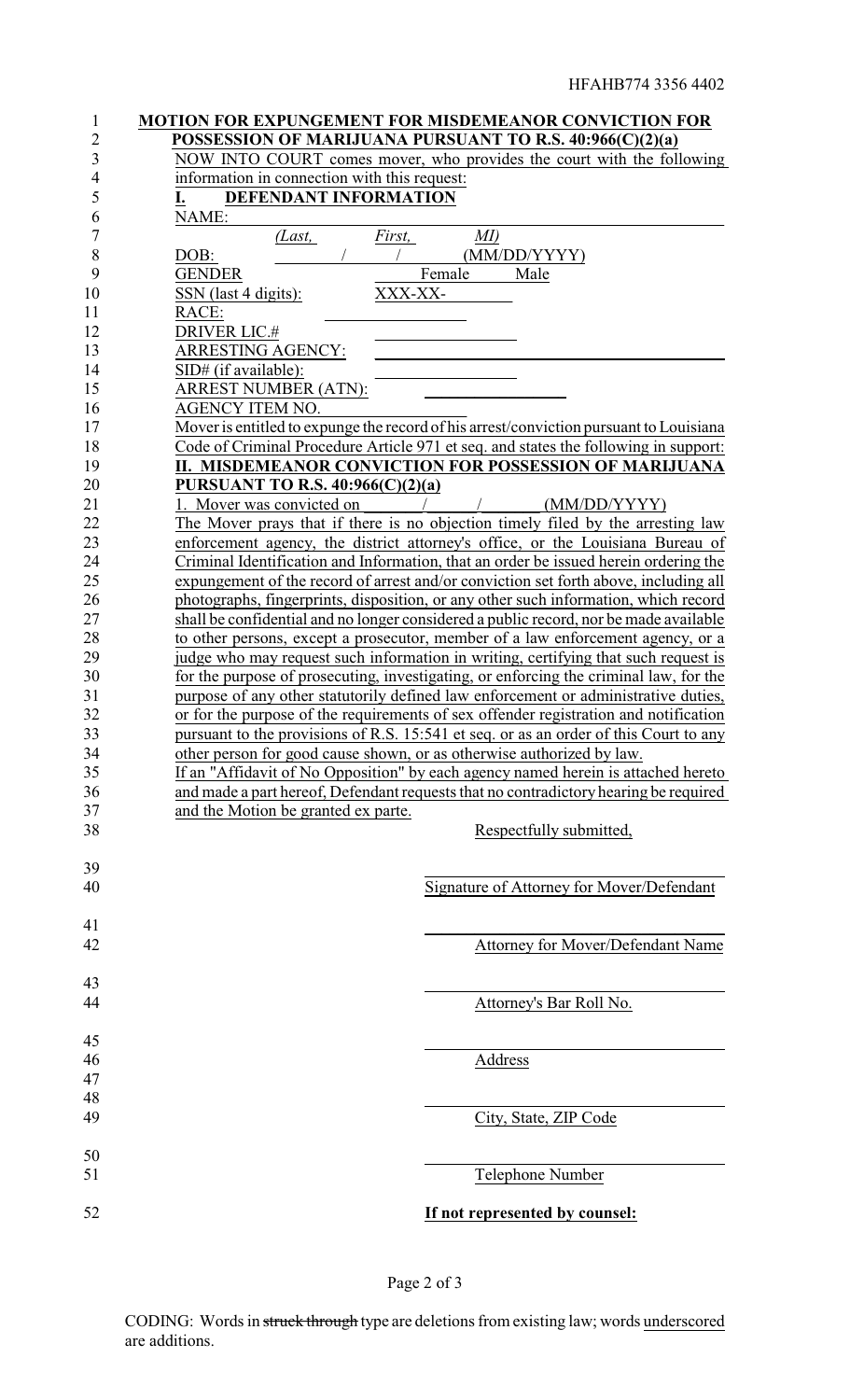| $\mathbf{1}$<br>2 | MOTION FOR EXPUNGEMENT FOR MISDEMEANOR CONVICTION FOR<br>POSSESSION OF MARIJUANA PURSUANT TO R.S. 40:966(C)(2)(a) |
|-------------------|-------------------------------------------------------------------------------------------------------------------|
| 3                 | NOW INTO COURT comes mover, who provides the court with the following                                             |
| $\overline{4}$    | information in connection with this request:                                                                      |
| 5                 | DEFENDANT INFORMATION<br>I.                                                                                       |
| 6                 | NAME:                                                                                                             |
| 7                 | MI)<br>(Last,<br>First,                                                                                           |
| 8                 | DOB:<br>(MM/DD/YYYY)                                                                                              |
| 9                 | <b>GENDER</b><br>Female<br>Male                                                                                   |
| 10                | XXX-XX-<br>SSN (last 4 digits):                                                                                   |
| 11                | RACE:                                                                                                             |
| 12                | <b>DRIVER LIC.#</b>                                                                                               |
| 13                | ARRESTING AGENCY:                                                                                                 |
| 14                | SID# (if available):                                                                                              |
| 15                | <b>ARREST NUMBER (ATN):</b>                                                                                       |
| 16                | AGENCY ITEM NO.                                                                                                   |
| 17                | Mover is entitled to expunge the record of his arrest/conviction pursuant to Louisiana                            |
| 18                | Code of Criminal Procedure Article 971 et seq. and states the following in support:                               |
| 19                | II. MISDEMEANOR CONVICTION FOR POSSESSION OF MARIJUANA                                                            |
| 20                | PURSUANT TO R.S. 40:966(C)(2)(a)                                                                                  |
| 21                | Mover was convicted on<br>(MM/DD/YYYY)                                                                            |
| 22                | The Mover prays that if there is no objection timely filed by the arresting law                                   |
| 23                | enforcement agency, the district attorney's office, or the Louisiana Bureau of                                    |
| 24                | Criminal Identification and Information, that an order be issued herein ordering the                              |
| 25                | expungement of the record of arrest and/or conviction set forth above, including all                              |
| 26                | photographs, fingerprints, disposition, or any other such information, which record                               |
| 27                | shall be confidential and no longer considered a public record, nor be made available                             |
| 28                | to other persons, except a prosecutor, member of a law enforcement agency, or a                                   |
| 29                | judge who may request such information in writing, certifying that such request is                                |
| 30                | for the purpose of prosecuting, investigating, or enforcing the criminal law, for the                             |
| 31                | purpose of any other statutorily defined law enforcement or administrative duties,                                |
| 32                | or for the purpose of the requirements of sex offender registration and notification                              |
| 33                | pursuant to the provisions of R.S. 15:541 et seq. or as an order of this Court to any                             |
| 34                | other person for good cause shown, or as otherwise authorized by law.                                             |
| 35                | If an "Affidavit of No Opposition" by each agency named herein is attached hereto                                 |
| 36                | and made a part hereof, Defendant requests that no contradictory hearing be required                              |
| 37                | and the Motion be granted ex parte.                                                                               |
| 38                | Respectfully submitted,                                                                                           |
|                   |                                                                                                                   |
| 39                |                                                                                                                   |
| 40                | Signature of Attorney for Mover/Defendant                                                                         |
|                   |                                                                                                                   |
| 41                |                                                                                                                   |
| 42                | Attorney for Mover/Defendant Name                                                                                 |
|                   |                                                                                                                   |
| 43                |                                                                                                                   |
| 44                | Attorney's Bar Roll No.                                                                                           |
|                   |                                                                                                                   |
| 45                |                                                                                                                   |
| 46                | Address                                                                                                           |
| 47                |                                                                                                                   |
| 48                |                                                                                                                   |
| 49                | City, State, ZIP Code                                                                                             |
|                   |                                                                                                                   |
| 50                |                                                                                                                   |
| 51                | Telephone Number                                                                                                  |
|                   |                                                                                                                   |
| 52                | If not represented by counsel:                                                                                    |
|                   |                                                                                                                   |